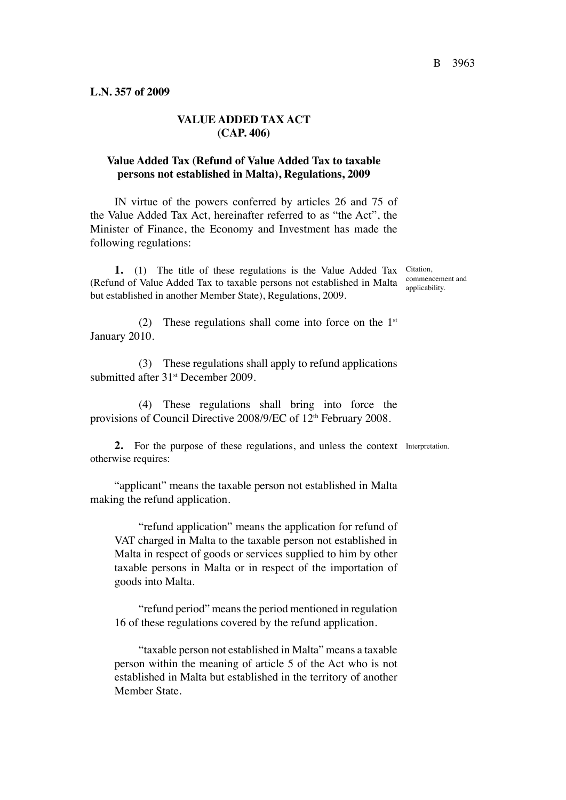## **VALUE ADDED TAX ACT (CAP. 406)**

## **Value Added Tax (Refund of Value Added Tax to taxable persons not established in Malta), Regulations, 2009**

IN virtue of the powers conferred by articles 26 and 75 of the Value Added Tax Act, hereinafter referred to as "the Act", the Minister of Finance, the Economy and Investment has made the following regulations:

1. (1) The title of these regulations is the Value Added Tax Citation, (Refund of Value Added Tax to taxable persons not established in Malta commencement and but established in another Member State), Regulations, 2009.

applicability.

(2) These regulations shall come into force on the  $1<sup>st</sup>$ January 2010.

(3) These regulations shall apply to refund applications submitted after 31<sup>st</sup> December 2009.

(4) These regulations shall bring into force the provisions of Council Directive 2008/9/EC of 12<sup>th</sup> February 2008.

**2.** For the purpose of these regulations, and unless the context Interpretation.otherwise requires:

"applicant" means the taxable person not established in Malta making the refund application.

"refund application" means the application for refund of VAT charged in Malta to the taxable person not established in Malta in respect of goods or services supplied to him by other taxable persons in Malta or in respect of the importation of goods into Malta.

"refund period" means the period mentioned in regulation 16 of these regulations covered by the refund application.

"taxable person not established in Malta" means a taxable person within the meaning of article 5 of the Act who is not established in Malta but established in the territory of another Member State.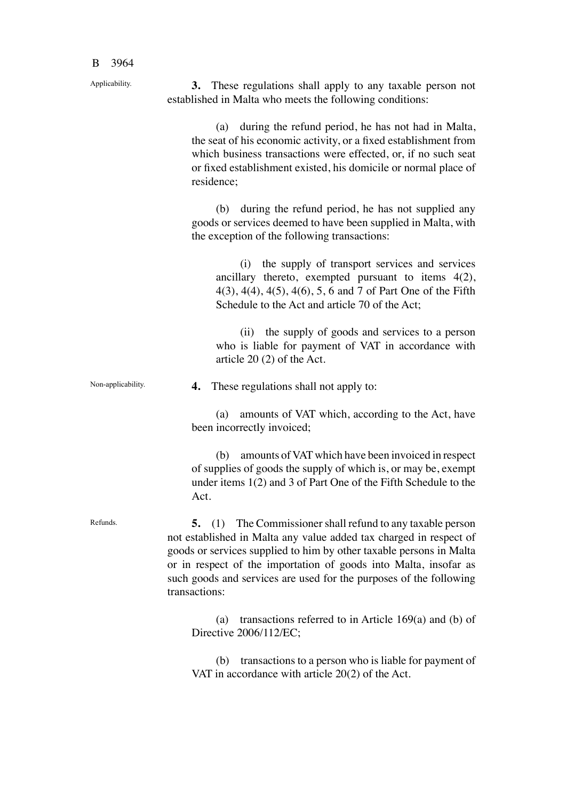Applicability.

**3.** These regulations shall apply to any taxable person not established in Malta who meets the following conditions:

(a) during the refund period, he has not had in Malta, the seat of his economic activity, or a fixed establishment from which business transactions were effected, or, if no such seat or fixed establishment existed, his domicile or normal place of residence;

(b) during the refund period, he has not supplied any goods or services deemed to have been supplied in Malta, with the exception of the following transactions:

(i) the supply of transport services and services ancillary thereto, exempted pursuant to items 4(2), 4(3), 4(4), 4(5), 4(6), 5, 6 and 7 of Part One of the Fifth Schedule to the Act and article 70 of the Act;

(ii) the supply of goods and services to a person who is liable for payment of VAT in accordance with article 20 (2) of the Act.

**4.** These regulations shall not apply to:

(a) amounts of VAT which, according to the Act, have been incorrectly invoiced;

(b) amounts of VAT which have been invoiced in respect of supplies of goods the supply of which is, or may be, exempt under items 1(2) and 3 of Part One of the Fifth Schedule to the Act.

Refunds.

Non-applicability.

**5.** (1) The Commissioner shall refund to any taxable person not established in Malta any value added tax charged in respect of goods or services supplied to him by other taxable persons in Malta or in respect of the importation of goods into Malta, insofar as such goods and services are used for the purposes of the following transactions:

(a) transactions referred to in Article 169(a) and (b) of Directive 2006/112/EC;

(b) transactions to a person who is liable for payment of VAT in accordance with article 20(2) of the Act.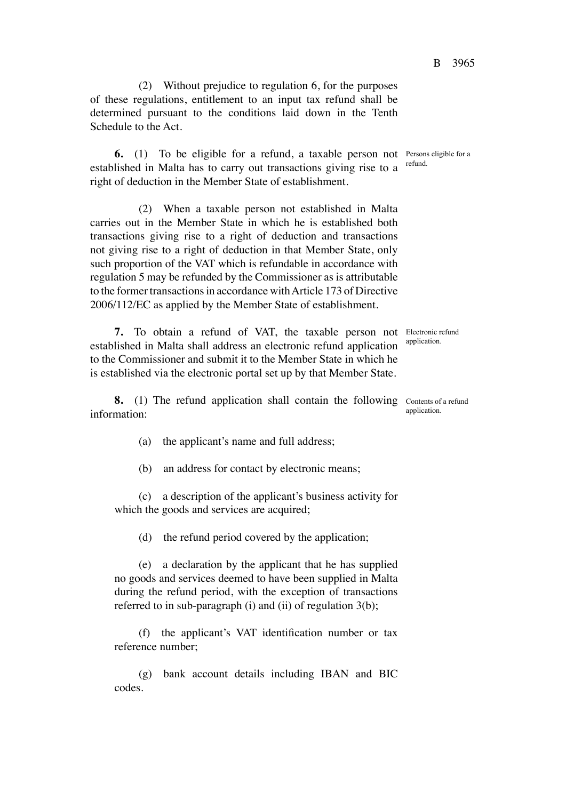(2) Without prejudice to regulation 6, for the purposes of these regulations, entitlement to an input tax refund shall be determined pursuant to the conditions laid down in the Tenth Schedule to the Act.

**6.** (1) To be eligible for a refund, a taxable person not Persons eligible for a established in Malta has to carry out transactions giving rise to a right of deduction in the Member State of establishment.

(2) When a taxable person not established in Malta carries out in the Member State in which he is established both transactions giving rise to a right of deduction and transactions not giving rise to a right of deduction in that Member State, only such proportion of the VAT which is refundable in accordance with regulation 5 may be refunded by the Commissioner as is attributable to the former transactions in accordance withArticle 173 of Directive 2006/112/EC as applied by the Member State of establishment.

**7.** To obtain a refund of VAT, the taxable person not Electronic refund established in Malta shall address an electronic refund application to the Commissioner and submit it to the Member State in which he is established via the electronic portal set up by that Member State.

**8.** (1) The refund application shall contain the following Contents of a refund information: application.

(a) the applicant's name and full address;

(b) an address for contact by electronic means;

(c) a description of the applicant's business activity for which the goods and services are acquired;

(d) the refund period covered by the application;

(e) a declaration by the applicant that he has supplied no goods and services deemed to have been supplied in Malta during the refund period, with the exception of transactions referred to in sub-paragraph (i) and (ii) of regulation 3(b);

(f) the applicant's VAT identification number or tax reference number;

(g) bank account details including IBAN and BIC codes.

refund.

application.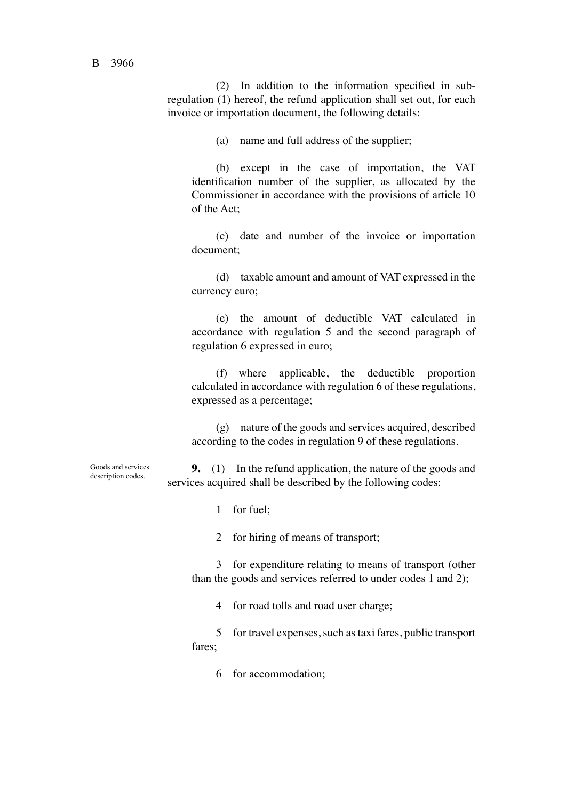(2) In addition to the information specified in subregulation (1) hereof, the refund application shall set out, for each invoice or importation document, the following details:

(a) name and full address of the supplier;

(b) except in the case of importation, the VAT identification number of the supplier, as allocated by the Commissioner in accordance with the provisions of article 10 of the Act;

(c) date and number of the invoice or importation document;

(d) taxable amount and amount of VAT expressed in the currency euro;

(e) the amount of deductible VAT calculated in accordance with regulation 5 and the second paragraph of regulation 6 expressed in euro;

(f) where applicable, the deductible proportion calculated in accordance with regulation 6 of these regulations, expressed as a percentage;

(g) nature of the goods and services acquired, described according to the codes in regulation 9 of these regulations.

**9.** (1) In the refund application, the nature of the goods and services acquired shall be described by the following codes:

1 for fuel;

2 for hiring of means of transport;

3 for expenditure relating to means of transport (other than the goods and services referred to under codes 1 and 2);

4 for road tolls and road user charge;

5 for travel expenses, such as taxi fares, public transport fares;

6 for accommodation;

Goods and services description codes.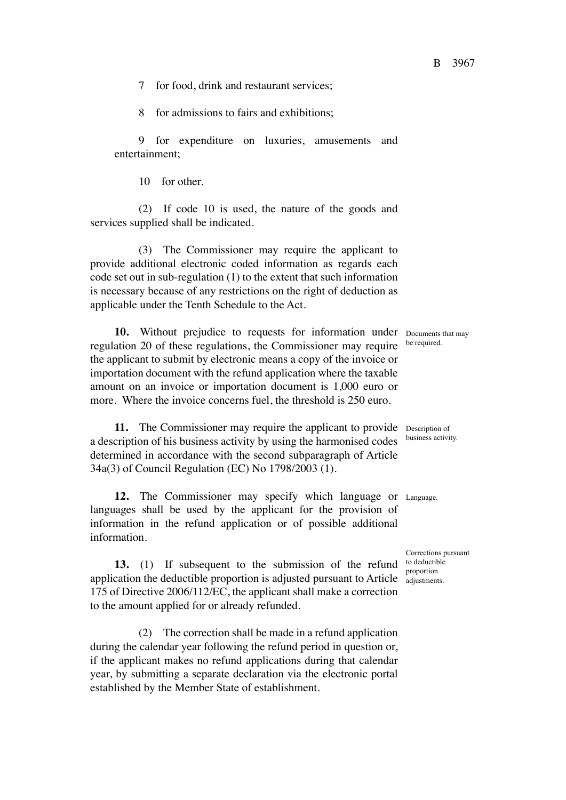7 for food, drink and restaurant services;

8 for admissions to fairs and exhibitions;

9 for expenditure on luxuries, amusements and entertainment;

10 for other.

(2) If code 10 is used, the nature of the goods and services supplied shall be indicated.

(3) The Commissioner may require the applicant to provide additional electronic coded information as regards each code set out in sub-regulation (1) to the extent that such information is necessary because of any restrictions on the right of deduction as applicable under the Tenth Schedule to the Act.

**10.** Without prejudice to requests for information under Documents that may regulation 20 of these regulations, the Commissioner may require the applicant to submit by electronic means a copy of the invoice or importation document with the refund application where the taxable amount on an invoice or importation document is 1,000 euro or more. Where the invoice concerns fuel, the threshold is 250 euro.

**11.** The Commissioner may require the applicant to provide Description of a description of his business activity by using the harmonised codes determined in accordance with the second subparagraph of Article 34a(3) of Council Regulation (EC) No 1798/2003 (1).

**12.** The Commissioner may specify which language or Language. languages shall be used by the applicant for the provision of information in the refund application or of possible additional information.

**13.** (1) If subsequent to the submission of the refund to deductible application the deductible proportion is adjusted pursuant to Article adjustment 175 of Directive 2006/112/EC, the applicant shall make a correction to the amount applied for or already refunded.

(2) The correction shall be made in a refund application during the calendar year following the refund period in question or, if the applicant makes no refund applications during that calendar year, by submitting a separate declaration via the electronic portal established by the Member State of establishment.

be required.

business activity.

Corrections pursuant adjustments.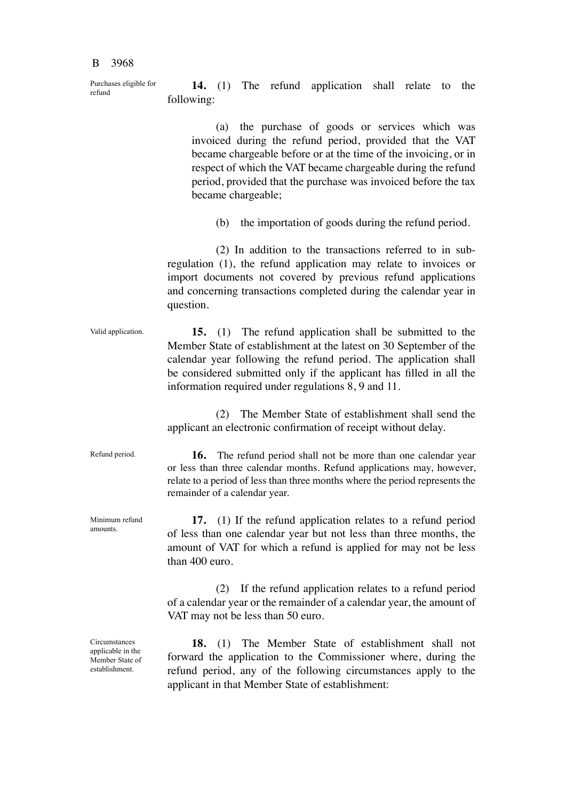Purchases eligible for refund

**14.** (1) The refund application shall relate to the following:

(a) the purchase of goods or services which was invoiced during the refund period, provided that the VAT became chargeable before or at the time of the invoicing, or in respect of which the VAT became chargeable during the refund period, provided that the purchase was invoiced before the tax became chargeable;

(b) the importation of goods during the refund period.

(2) In addition to the transactions referred to in subregulation (1), the refund application may relate to invoices or import documents not covered by previous refund applications and concerning transactions completed during the calendar year in question.

**15.** (1) The refund application shall be submitted to the Member State of establishment at the latest on 30 September of the calendar year following the refund period. The application shall be considered submitted only if the applicant has filled in all the information required under regulations 8, 9 and 11. Valid application.

> (2) The Member State of establishment shall send the applicant an electronic confirmation of receipt without delay.

> **16.** The refund period shall not be more than one calendar year or less than three calendar months. Refund applications may, however, relate to a period of less than three months where the period represents the

Refund period.

remainder of a calendar year.

**17.** (1) If the refund application relates to a refund period of less than one calendar year but not less than three months, the amount of VAT for which a refund is applied for may not be less than 400 euro.

(2) If the refund application relates to a refund period of a calendar year or the remainder of a calendar year, the amount of VAT may not be less than 50 euro.

**18.** (1) The Member State of establishment shall not forward the application to the Commissioner where, during the refund period, any of the following circumstances apply to the applicant in that Member State of establishment:

Minimum refund amounts.

**Circumstances** applicable in the Member State of establishment.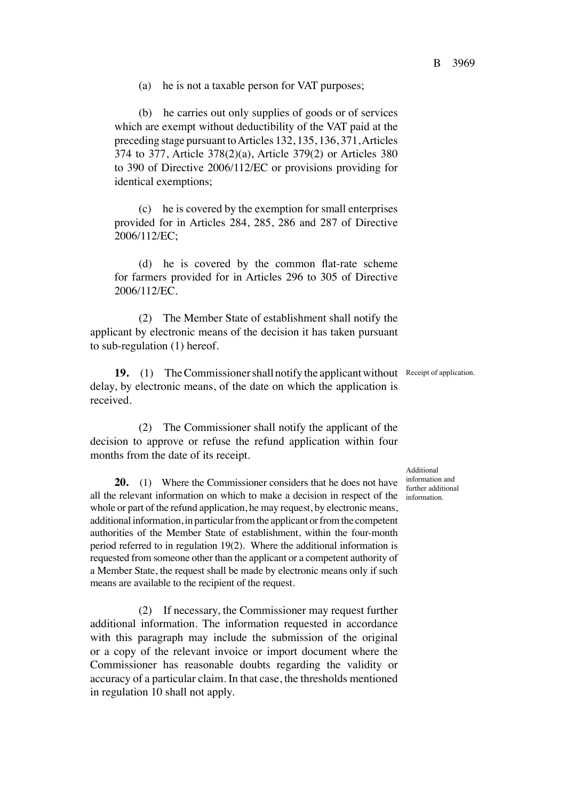(a) he is not a taxable person for VAT purposes;

(b) he carries out only supplies of goods or of services which are exempt without deductibility of the VAT paid at the preceding stage pursuant to Articles 132, 135, 136, 371, Articles 374 to 377, Article 378(2)(a), Article 379(2) or Articles 380 to 390 of Directive 2006/112/EC or provisions providing for identical exemptions;

(c) he is covered by the exemption for small enterprises provided for in Articles 284, 285, 286 and 287 of Directive 2006/112/EC;

(d) he is covered by the common flat-rate scheme for farmers provided for in Articles 296 to 305 of Directive 2006/112/EC.

(2) The Member State of establishment shall notify the applicant by electronic means of the decision it has taken pursuant to sub-regulation (1) hereof.

19. (1) The Commissioner shall notify the applicant without Receipt of application. delay, by electronic means, of the date on which the application is received.

(2) The Commissioner shall notify the applicant of the decision to approve or refuse the refund application within four months from the date of its receipt.

**20.** (1) Where the Commissioner considers that he does not have all the relevant information on which to make a decision in respect of the whole or part of the refund application, he may request, by electronic means, additional information, in particular from the applicant or from the competent authorities of the Member State of establishment, within the four-month period referred to in regulation 19(2). Where the additional information is requested from someone other than the applicant or a competent authority of a Member State, the request shall be made by electronic means only if such means are available to the recipient of the request.

(2) If necessary, the Commissioner may request further additional information. The information requested in accordance with this paragraph may include the submission of the original or a copy of the relevant invoice or import document where the Commissioner has reasonable doubts regarding the validity or accuracy of a particular claim. In that case, the thresholds mentioned in regulation 10 shall not apply.

Additional information and further additional information.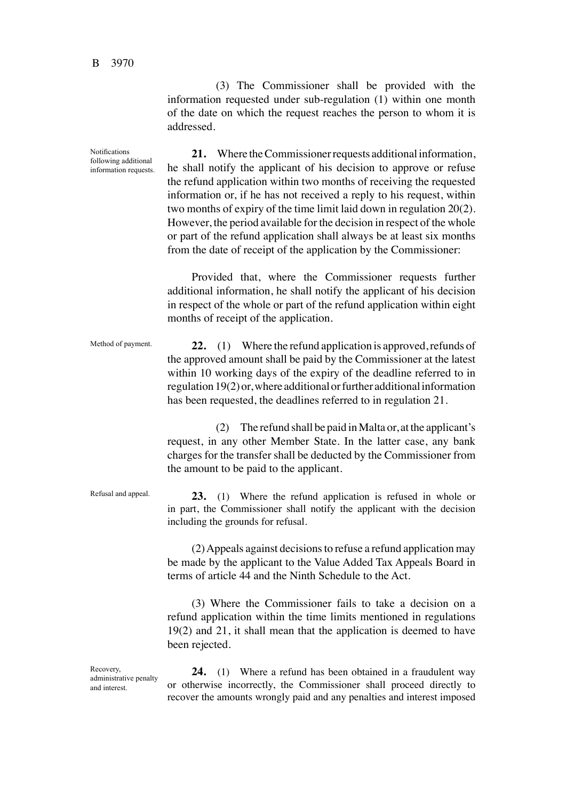Method of payment.

Refusal and appeal.

(3) The Commissioner shall be provided with the information requested under sub-regulation (1) within one month of the date on which the request reaches the person to whom it is addressed.

**21.** Where the Commissioner requests additional information, he shall notify the applicant of his decision to approve or refuse the refund application within two months of receiving the requested information or, if he has not received a reply to his request, within two months of expiry of the time limit laid down in regulation 20(2). However, the period available for the decision in respect of the whole or part of the refund application shall always be at least six months from the date of receipt of the application by the Commissioner: Notifications following additional information requests.

> Provided that, where the Commissioner requests further additional information, he shall notify the applicant of his decision in respect of the whole or part of the refund application within eight months of receipt of the application.

**22.** (1) Where the refund application is approved, refunds of the approved amount shall be paid by the Commissioner at the latest within 10 working days of the expiry of the deadline referred to in regulation 19(2) or, where additional or further additional information has been requested, the deadlines referred to in regulation 21.

(2) The refund shall be paid in Malta or, at the applicant's request, in any other Member State. In the latter case, any bank charges for the transfer shall be deducted by the Commissioner from the amount to be paid to the applicant.

**23.** (1) Where the refund application is refused in whole or in part, the Commissioner shall notify the applicant with the decision including the grounds for refusal.

(2) Appeals against decisions to refuse a refund application may be made by the applicant to the Value Added Tax Appeals Board in terms of article 44 and the Ninth Schedule to the Act.

(3) Where the Commissioner fails to take a decision on a refund application within the time limits mentioned in regulations 19(2) and 21, it shall mean that the application is deemed to have been rejected.

Recovery, administrative penalty and interest.

**24.** (1) Where a refund has been obtained in a fraudulent way or otherwise incorrectly, the Commissioner shall proceed directly to recover the amounts wrongly paid and any penalties and interest imposed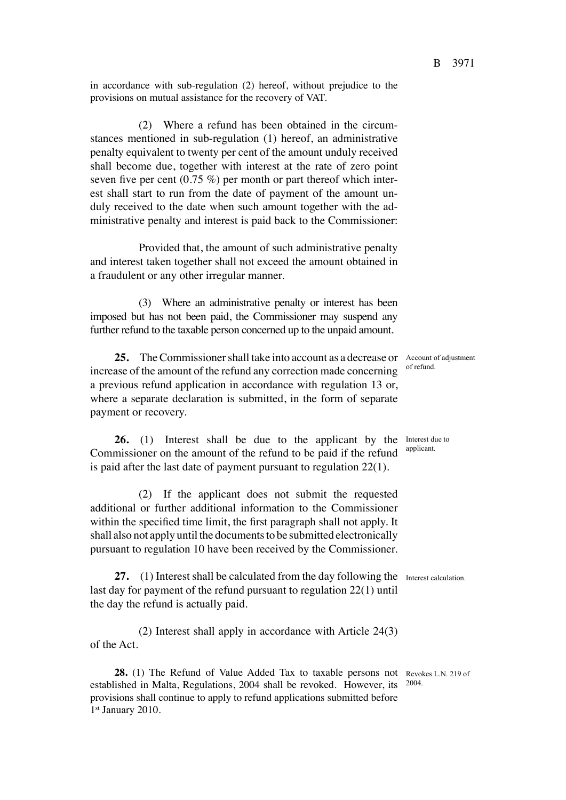in accordance with sub-regulation (2) hereof, without prejudice to the provisions on mutual assistance for the recovery of VAT.

(2) Where a refund has been obtained in the circumstances mentioned in sub-regulation (1) hereof, an administrative penalty equivalent to twenty per cent of the amount unduly received shall become due, together with interest at the rate of zero point seven five per cent  $(0.75 \%)$  per month or part thereof which interest shall start to run from the date of payment of the amount unduly received to the date when such amount together with the administrative penalty and interest is paid back to the Commissioner:

Provided that, the amount of such administrative penalty and interest taken together shall not exceed the amount obtained in a fraudulent or any other irregular manner.

(3) Where an administrative penalty or interest has been imposed but has not been paid, the Commissioner may suspend any further refund to the taxable person concerned up to the unpaid amount.

25. The Commissioner shall take into account as a decrease or Account of adjustment increase of the amount of the refund any correction made concerning a previous refund application in accordance with regulation 13 or, where a separate declaration is submitted, in the form of separate payment or recovery. of refund.

**26.** (1) Interest shall be due to the applicant by the Interest due to Commissioner on the amount of the refund to be paid if the refund is paid after the last date of payment pursuant to regulation 22(1).

(2) If the applicant does not submit the requested additional or further additional information to the Commissioner within the specified time limit, the first paragraph shall not apply. It shall also not apply until the documents to be submitted electronically pursuant to regulation 10 have been received by the Commissioner.

27. (1) Interest shall be calculated from the day following the Interest calculation. last day for payment of the refund pursuant to regulation 22(1) until the day the refund is actually paid.

(2) Interest shall apply in accordance with Article 24(3) of the Act.

28. (1) The Refund of Value Added Tax to taxable persons not Revokes L.N. 219 of established in Malta, Regulations, 2004 shall be revoked. However, its <sup>2004.</sup> provisions shall continue to apply to refund applications submitted before 1st January 2010.

B 3971

applicant.